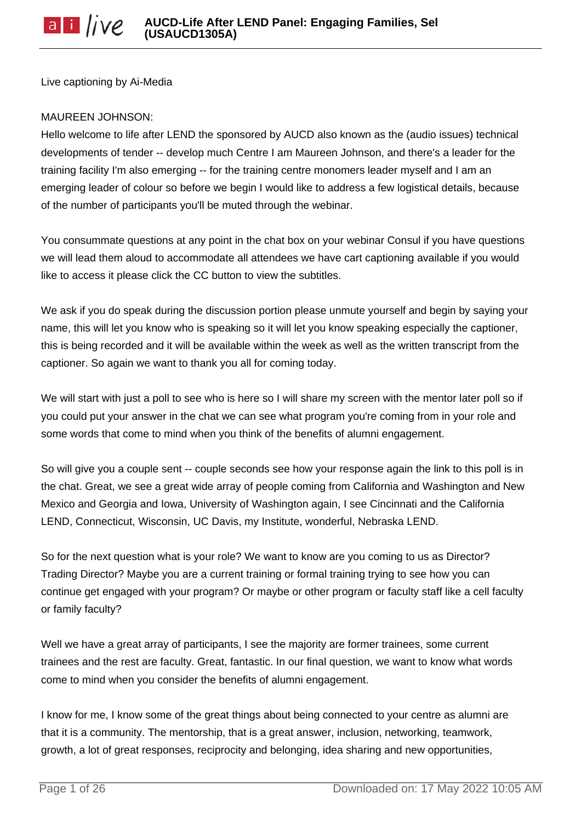Live captioning by Ai-Media

### MAUREEN JOHNSON:

Hello welcome to life after LEND the sponsored by AUCD also known as the (audio issues) technical developments of tender -- develop much Centre I am Maureen Johnson, and there's a leader for the training facility I'm also emerging -- for the training centre monomers leader myself and I am an emerging leader of colour so before we begin I would like to address a few logistical details, because of the number of participants you'll be muted through the webinar.

You consummate questions at any point in the chat box on your webinar Consul if you have questions we will lead them aloud to accommodate all attendees we have cart captioning available if you would like to access it please click the CC button to view the subtitles.

We ask if you do speak during the discussion portion please unmute yourself and begin by saying your name, this will let you know who is speaking so it will let you know speaking especially the captioner, this is being recorded and it will be available within the week as well as the written transcript from the captioner. So again we want to thank you all for coming today.

We will start with just a poll to see who is here so I will share my screen with the mentor later poll so if you could put your answer in the chat we can see what program you're coming from in your role and some words that come to mind when you think of the benefits of alumni engagement.

So will give you a couple sent -- couple seconds see how your response again the link to this poll is in the chat. Great, we see a great wide array of people coming from California and Washington and New Mexico and Georgia and Iowa, University of Washington again, I see Cincinnati and the California LEND, Connecticut, Wisconsin, UC Davis, my Institute, wonderful, Nebraska LEND.

So for the next question what is your role? We want to know are you coming to us as Director? Trading Director? Maybe you are a current training or formal training trying to see how you can continue get engaged with your program? Or maybe or other program or faculty staff like a cell faculty or family faculty?

Well we have a great array of participants, I see the majority are former trainees, some current trainees and the rest are faculty. Great, fantastic. In our final question, we want to know what words come to mind when you consider the benefits of alumni engagement.

I know for me, I know some of the great things about being connected to your centre as alumni are that it is a community. The mentorship, that is a great answer, inclusion, networking, teamwork, growth, a lot of great responses, reciprocity and belonging, idea sharing and new opportunities,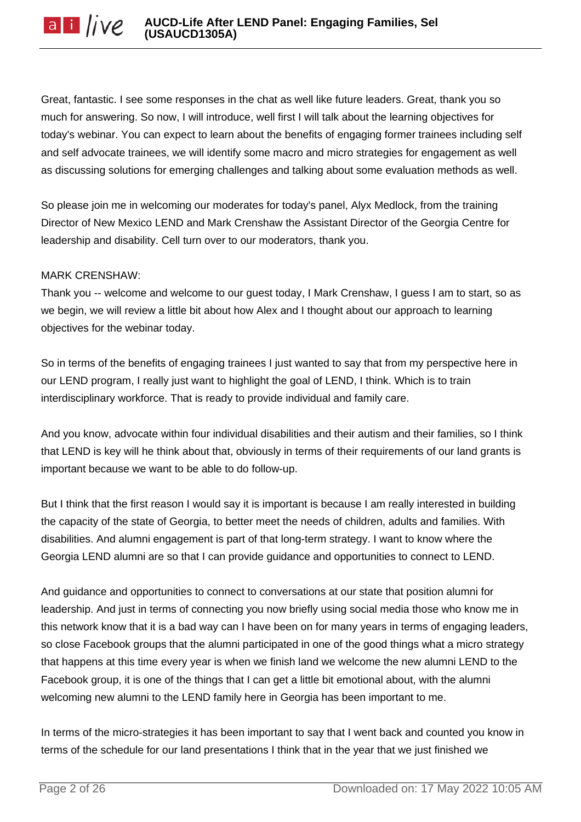Great, fantastic. I see some responses in the chat as well like future leaders. Great, thank you so much for answering. So now, I will introduce, well first I will talk about the learning objectives for today's webinar. You can expect to learn about the benefits of engaging former trainees including self and self advocate trainees, we will identify some macro and micro strategies for engagement as well as discussing solutions for emerging challenges and talking about some evaluation methods as well.

So please join me in welcoming our moderates for today's panel, Alyx Medlock, from the training Director of New Mexico LEND and Mark Crenshaw the Assistant Director of the Georgia Centre for leadership and disability. Cell turn over to our moderators, thank you.

# MARK CRENSHAW:

Thank you -- welcome and welcome to our guest today, I Mark Crenshaw, I guess I am to start, so as we begin, we will review a little bit about how Alex and I thought about our approach to learning objectives for the webinar today.

So in terms of the benefits of engaging trainees I just wanted to say that from my perspective here in our LEND program, I really just want to highlight the goal of LEND, I think. Which is to train interdisciplinary workforce. That is ready to provide individual and family care.

And you know, advocate within four individual disabilities and their autism and their families, so I think that LEND is key will he think about that, obviously in terms of their requirements of our land grants is important because we want to be able to do follow-up.

But I think that the first reason I would say it is important is because I am really interested in building the capacity of the state of Georgia, to better meet the needs of children, adults and families. With disabilities. And alumni engagement is part of that long-term strategy. I want to know where the Georgia LEND alumni are so that I can provide guidance and opportunities to connect to LEND.

And guidance and opportunities to connect to conversations at our state that position alumni for leadership. And just in terms of connecting you now briefly using social media those who know me in this network know that it is a bad way can I have been on for many years in terms of engaging leaders, so close Facebook groups that the alumni participated in one of the good things what a micro strategy that happens at this time every year is when we finish land we welcome the new alumni LEND to the Facebook group, it is one of the things that I can get a little bit emotional about, with the alumni welcoming new alumni to the LEND family here in Georgia has been important to me.

In terms of the micro-strategies it has been important to say that I went back and counted you know in terms of the schedule for our land presentations I think that in the year that we just finished we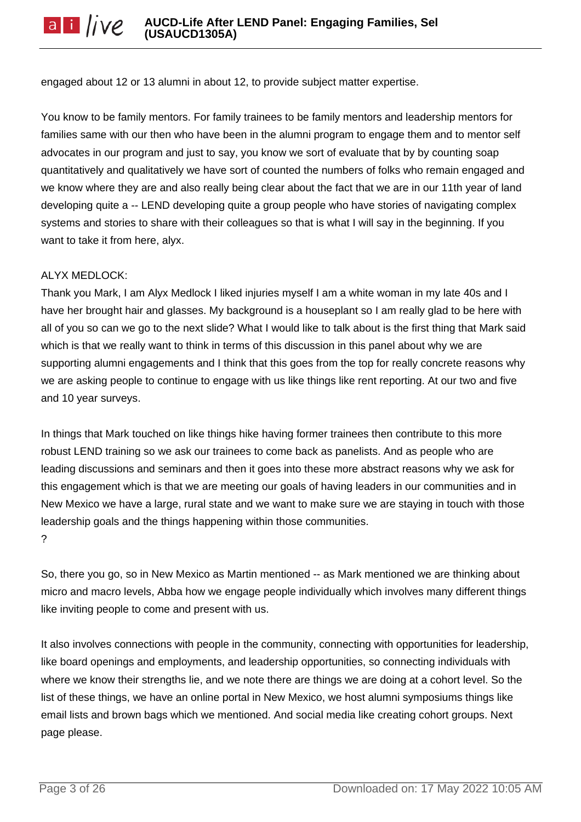engaged about 12 or 13 alumni in about 12, to provide subject matter expertise.

You know to be family mentors. For family trainees to be family mentors and leadership mentors for families same with our then who have been in the alumni program to engage them and to mentor self advocates in our program and just to say, you know we sort of evaluate that by by counting soap quantitatively and qualitatively we have sort of counted the numbers of folks who remain engaged and we know where they are and also really being clear about the fact that we are in our 11th year of land developing quite a -- LEND developing quite a group people who have stories of navigating complex systems and stories to share with their colleagues so that is what I will say in the beginning. If you want to take it from here, alyx.

### ALYX MEDLOCK:

Thank you Mark, I am Alyx Medlock I liked injuries myself I am a white woman in my late 40s and I have her brought hair and glasses. My background is a houseplant so I am really glad to be here with all of you so can we go to the next slide? What I would like to talk about is the first thing that Mark said which is that we really want to think in terms of this discussion in this panel about why we are supporting alumni engagements and I think that this goes from the top for really concrete reasons why we are asking people to continue to engage with us like things like rent reporting. At our two and five and 10 year surveys.

In things that Mark touched on like things hike having former trainees then contribute to this more robust LEND training so we ask our trainees to come back as panelists. And as people who are leading discussions and seminars and then it goes into these more abstract reasons why we ask for this engagement which is that we are meeting our goals of having leaders in our communities and in New Mexico we have a large, rural state and we want to make sure we are staying in touch with those leadership goals and the things happening within those communities. ?

So, there you go, so in New Mexico as Martin mentioned -- as Mark mentioned we are thinking about micro and macro levels, Abba how we engage people individually which involves many different things like inviting people to come and present with us.

It also involves connections with people in the community, connecting with opportunities for leadership, like board openings and employments, and leadership opportunities, so connecting individuals with where we know their strengths lie, and we note there are things we are doing at a cohort level. So the list of these things, we have an online portal in New Mexico, we host alumni symposiums things like email lists and brown bags which we mentioned. And social media like creating cohort groups. Next page please.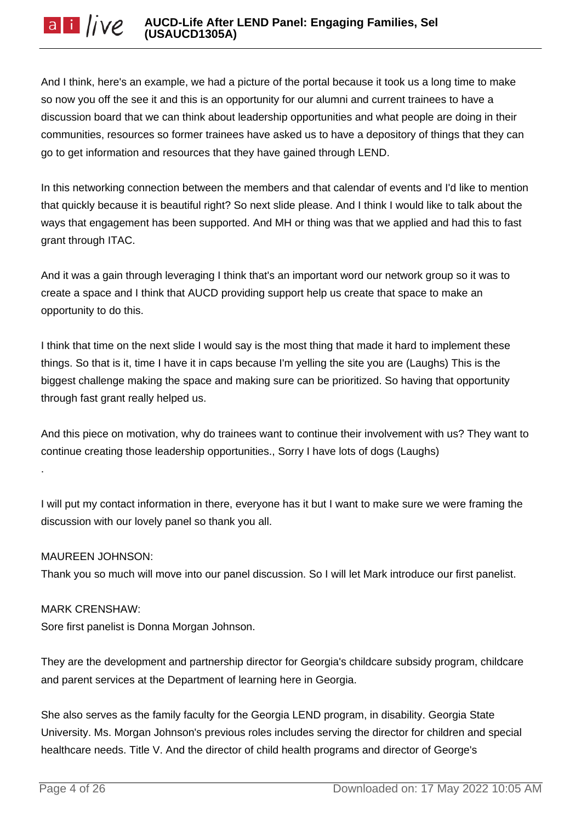And I think, here's an example, we had a picture of the portal because it took us a long time to make so now you off the see it and this is an opportunity for our alumni and current trainees to have a discussion board that we can think about leadership opportunities and what people are doing in their communities, resources so former trainees have asked us to have a depository of things that they can go to get information and resources that they have gained through LEND.

In this networking connection between the members and that calendar of events and I'd like to mention that quickly because it is beautiful right? So next slide please. And I think I would like to talk about the ways that engagement has been supported. And MH or thing was that we applied and had this to fast grant through ITAC.

And it was a gain through leveraging I think that's an important word our network group so it was to create a space and I think that AUCD providing support help us create that space to make an opportunity to do this.

I think that time on the next slide I would say is the most thing that made it hard to implement these things. So that is it, time I have it in caps because I'm yelling the site you are (Laughs) This is the biggest challenge making the space and making sure can be prioritized. So having that opportunity through fast grant really helped us.

And this piece on motivation, why do trainees want to continue their involvement with us? They want to continue creating those leadership opportunities., Sorry I have lots of dogs (Laughs)

I will put my contact information in there, everyone has it but I want to make sure we were framing the discussion with our lovely panel so thank you all.

# MAUREEN JOHNSON:

.

Thank you so much will move into our panel discussion. So I will let Mark introduce our first panelist.

# MARK CRENSHAW:

Sore first panelist is Donna Morgan Johnson.

They are the development and partnership director for Georgia's childcare subsidy program, childcare and parent services at the Department of learning here in Georgia.

She also serves as the family faculty for the Georgia LEND program, in disability. Georgia State University. Ms. Morgan Johnson's previous roles includes serving the director for children and special healthcare needs. Title V. And the director of child health programs and director of George's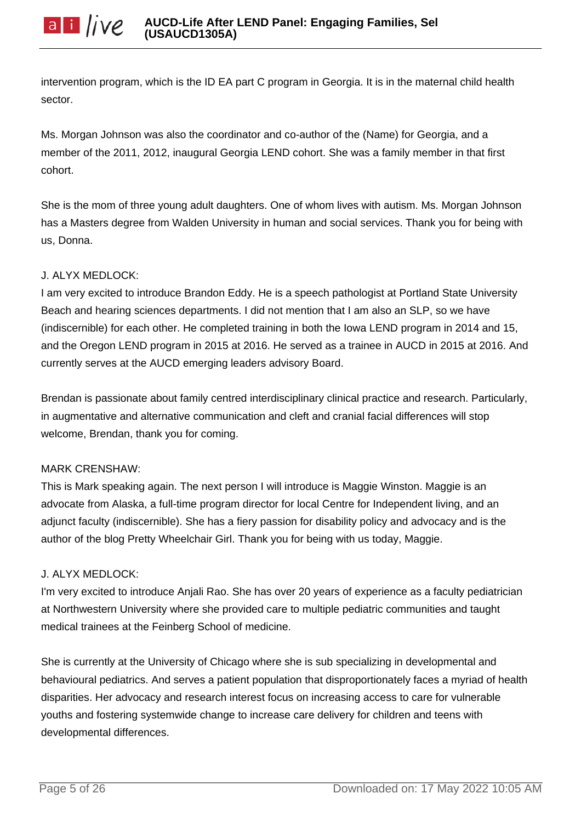intervention program, which is the ID EA part C program in Georgia. It is in the maternal child health sector.

Ms. Morgan Johnson was also the coordinator and co-author of the (Name) for Georgia, and a member of the 2011, 2012, inaugural Georgia LEND cohort. She was a family member in that first cohort.

She is the mom of three young adult daughters. One of whom lives with autism. Ms. Morgan Johnson has a Masters degree from Walden University in human and social services. Thank you for being with us, Donna.

## J. ALYX MEDLOCK:

I am very excited to introduce Brandon Eddy. He is a speech pathologist at Portland State University Beach and hearing sciences departments. I did not mention that I am also an SLP, so we have (indiscernible) for each other. He completed training in both the Iowa LEND program in 2014 and 15, and the Oregon LEND program in 2015 at 2016. He served as a trainee in AUCD in 2015 at 2016. And currently serves at the AUCD emerging leaders advisory Board.

Brendan is passionate about family centred interdisciplinary clinical practice and research. Particularly, in augmentative and alternative communication and cleft and cranial facial differences will stop welcome, Brendan, thank you for coming.

# MARK CRENSHAW:

This is Mark speaking again. The next person I will introduce is Maggie Winston. Maggie is an advocate from Alaska, a full-time program director for local Centre for Independent living, and an adjunct faculty (indiscernible). She has a fiery passion for disability policy and advocacy and is the author of the blog Pretty Wheelchair Girl. Thank you for being with us today, Maggie.

### J. ALYX MEDLOCK:

I'm very excited to introduce Anjali Rao. She has over 20 years of experience as a faculty pediatrician at Northwestern University where she provided care to multiple pediatric communities and taught medical trainees at the Feinberg School of medicine.

She is currently at the University of Chicago where she is sub specializing in developmental and behavioural pediatrics. And serves a patient population that disproportionately faces a myriad of health disparities. Her advocacy and research interest focus on increasing access to care for vulnerable youths and fostering systemwide change to increase care delivery for children and teens with developmental differences.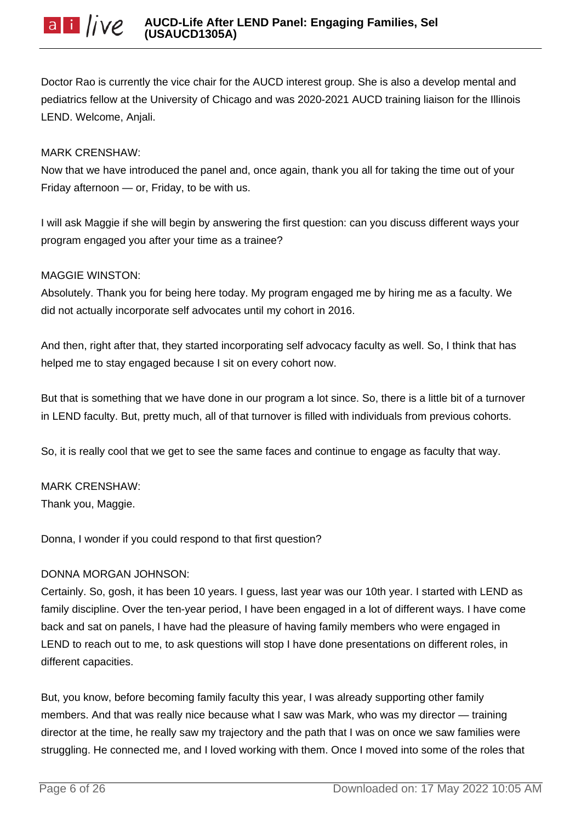Doctor Rao is currently the vice chair for the AUCD interest group. She is also a develop mental and pediatrics fellow at the University of Chicago and was 2020-2021 AUCD training liaison for the Illinois LEND. Welcome, Anjali.

# MARK CRENSHAW:

Now that we have introduced the panel and, once again, thank you all for taking the time out of your Friday afternoon — or, Friday, to be with us.

I will ask Maggie if she will begin by answering the first question: can you discuss different ways your program engaged you after your time as a trainee?

# MAGGIE WINSTON:

Absolutely. Thank you for being here today. My program engaged me by hiring me as a faculty. We did not actually incorporate self advocates until my cohort in 2016.

And then, right after that, they started incorporating self advocacy faculty as well. So, I think that has helped me to stay engaged because I sit on every cohort now.

But that is something that we have done in our program a lot since. So, there is a little bit of a turnover in LEND faculty. But, pretty much, all of that turnover is filled with individuals from previous cohorts.

So, it is really cool that we get to see the same faces and continue to engage as faculty that way.

# MARK CRENSHAW:

Thank you, Maggie.

Donna, I wonder if you could respond to that first question?

# DONNA MORGAN JOHNSON:

Certainly. So, gosh, it has been 10 years. I guess, last year was our 10th year. I started with LEND as family discipline. Over the ten-year period, I have been engaged in a lot of different ways. I have come back and sat on panels, I have had the pleasure of having family members who were engaged in LEND to reach out to me, to ask questions will stop I have done presentations on different roles, in different capacities.

But, you know, before becoming family faculty this year, I was already supporting other family members. And that was really nice because what I saw was Mark, who was my director — training director at the time, he really saw my trajectory and the path that I was on once we saw families were struggling. He connected me, and I loved working with them. Once I moved into some of the roles that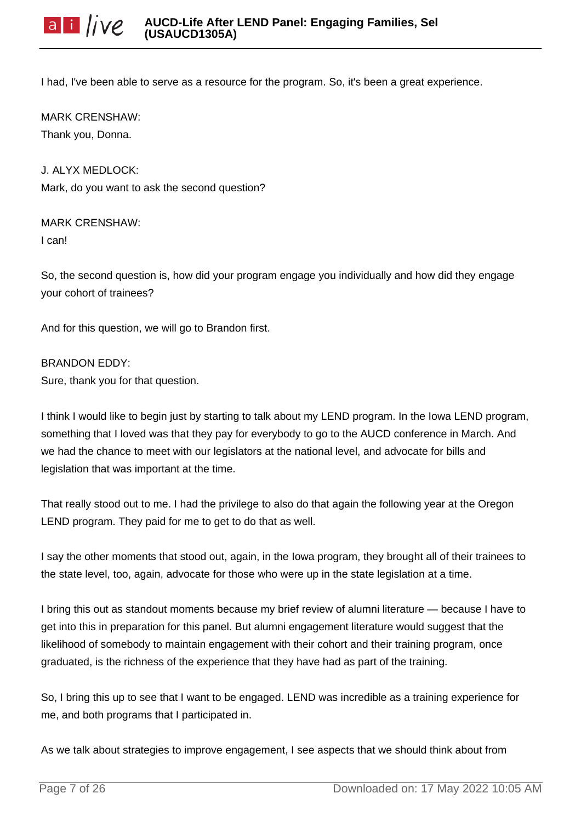I had, I've been able to serve as a resource for the program. So, it's been a great experience.

MARK CRENSHAW: Thank you, Donna.

J. ALYX MEDLOCK: Mark, do you want to ask the second question?

MARK CRENSHAW: I can!

So, the second question is, how did your program engage you individually and how did they engage your cohort of trainees?

And for this question, we will go to Brandon first.

BRANDON EDDY:

Sure, thank you for that question.

I think I would like to begin just by starting to talk about my LEND program. In the Iowa LEND program, something that I loved was that they pay for everybody to go to the AUCD conference in March. And we had the chance to meet with our legislators at the national level, and advocate for bills and legislation that was important at the time.

That really stood out to me. I had the privilege to also do that again the following year at the Oregon LEND program. They paid for me to get to do that as well.

I say the other moments that stood out, again, in the Iowa program, they brought all of their trainees to the state level, too, again, advocate for those who were up in the state legislation at a time.

I bring this out as standout moments because my brief review of alumni literature — because I have to get into this in preparation for this panel. But alumni engagement literature would suggest that the likelihood of somebody to maintain engagement with their cohort and their training program, once graduated, is the richness of the experience that they have had as part of the training.

So, I bring this up to see that I want to be engaged. LEND was incredible as a training experience for me, and both programs that I participated in.

As we talk about strategies to improve engagement, I see aspects that we should think about from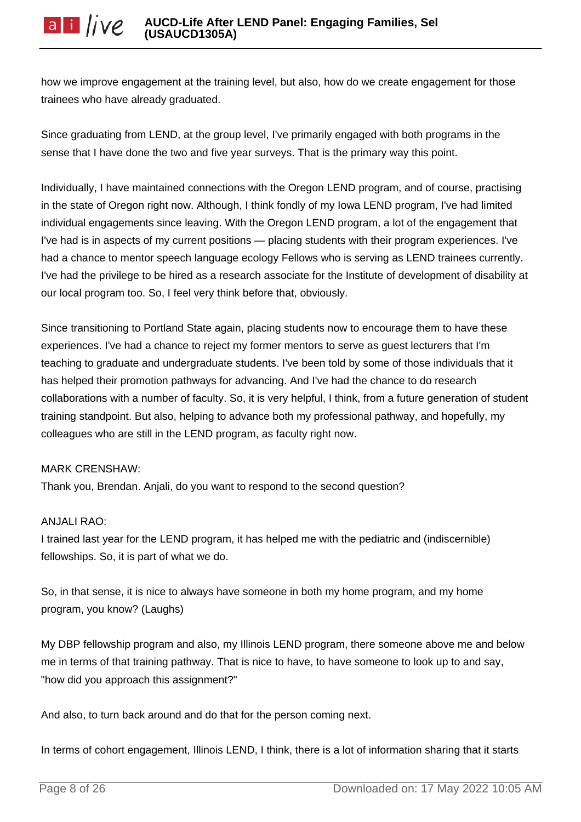how we improve engagement at the training level, but also, how do we create engagement for those trainees who have already graduated.

Since graduating from LEND, at the group level, I've primarily engaged with both programs in the sense that I have done the two and five year surveys. That is the primary way this point.

Individually, I have maintained connections with the Oregon LEND program, and of course, practising in the state of Oregon right now. Although, I think fondly of my Iowa LEND program, I've had limited individual engagements since leaving. With the Oregon LEND program, a lot of the engagement that I've had is in aspects of my current positions — placing students with their program experiences. I've had a chance to mentor speech language ecology Fellows who is serving as LEND trainees currently. I've had the privilege to be hired as a research associate for the Institute of development of disability at our local program too. So, I feel very think before that, obviously.

Since transitioning to Portland State again, placing students now to encourage them to have these experiences. I've had a chance to reject my former mentors to serve as guest lecturers that I'm teaching to graduate and undergraduate students. I've been told by some of those individuals that it has helped their promotion pathways for advancing. And I've had the chance to do research collaborations with a number of faculty. So, it is very helpful, I think, from a future generation of student training standpoint. But also, helping to advance both my professional pathway, and hopefully, my colleagues who are still in the LEND program, as faculty right now.

### MARK CRENSHAW:

Thank you, Brendan. Anjali, do you want to respond to the second question?

### ANJALI RAO:

I trained last year for the LEND program, it has helped me with the pediatric and (indiscernible) fellowships. So, it is part of what we do.

So, in that sense, it is nice to always have someone in both my home program, and my home program, you know? (Laughs)

My DBP fellowship program and also, my Illinois LEND program, there someone above me and below me in terms of that training pathway. That is nice to have, to have someone to look up to and say, "how did you approach this assignment?"

And also, to turn back around and do that for the person coming next.

In terms of cohort engagement, Illinois LEND, I think, there is a lot of information sharing that it starts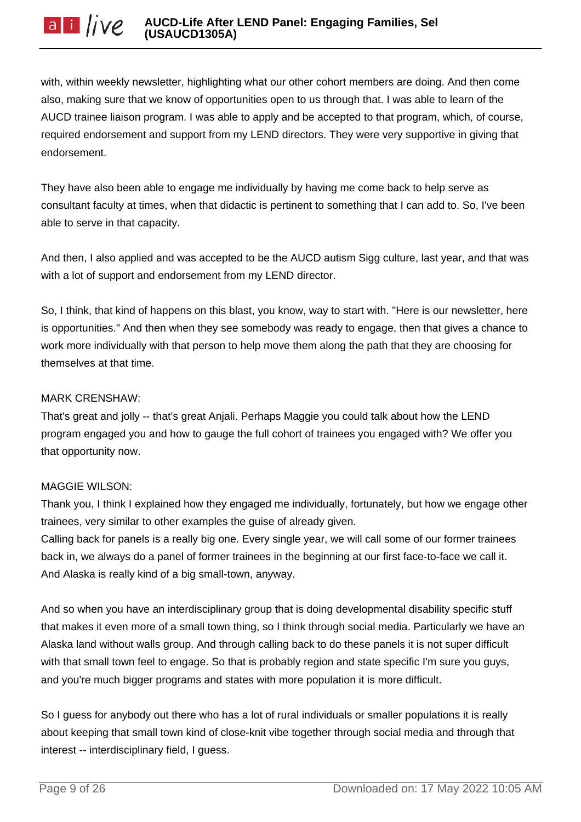with, within weekly newsletter, highlighting what our other cohort members are doing. And then come also, making sure that we know of opportunities open to us through that. I was able to learn of the AUCD trainee liaison program. I was able to apply and be accepted to that program, which, of course, required endorsement and support from my LEND directors. They were very supportive in giving that endorsement.

They have also been able to engage me individually by having me come back to help serve as consultant faculty at times, when that didactic is pertinent to something that I can add to. So, I've been able to serve in that capacity.

And then, I also applied and was accepted to be the AUCD autism Sigg culture, last year, and that was with a lot of support and endorsement from my LEND director.

So, I think, that kind of happens on this blast, you know, way to start with. "Here is our newsletter, here is opportunities." And then when they see somebody was ready to engage, then that gives a chance to work more individually with that person to help move them along the path that they are choosing for themselves at that time.

## MARK CRENSHAW:

That's great and jolly -- that's great Anjali. Perhaps Maggie you could talk about how the LEND program engaged you and how to gauge the full cohort of trainees you engaged with? We offer you that opportunity now.

# MAGGIE WILSON:

Thank you, I think I explained how they engaged me individually, fortunately, but how we engage other trainees, very similar to other examples the guise of already given.

Calling back for panels is a really big one. Every single year, we will call some of our former trainees back in, we always do a panel of former trainees in the beginning at our first face-to-face we call it. And Alaska is really kind of a big small-town, anyway.

And so when you have an interdisciplinary group that is doing developmental disability specific stuff that makes it even more of a small town thing, so I think through social media. Particularly we have an Alaska land without walls group. And through calling back to do these panels it is not super difficult with that small town feel to engage. So that is probably region and state specific I'm sure you guys, and you're much bigger programs and states with more population it is more difficult.

So I guess for anybody out there who has a lot of rural individuals or smaller populations it is really about keeping that small town kind of close-knit vibe together through social media and through that interest -- interdisciplinary field, I guess.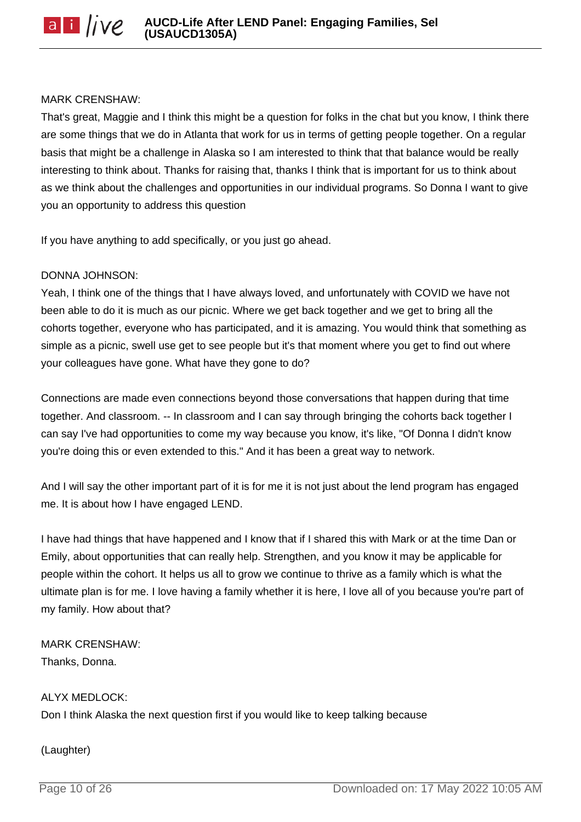#### MARK CRENSHAW:

That's great, Maggie and I think this might be a question for folks in the chat but you know, I think there are some things that we do in Atlanta that work for us in terms of getting people together. On a regular basis that might be a challenge in Alaska so I am interested to think that that balance would be really interesting to think about. Thanks for raising that, thanks I think that is important for us to think about as we think about the challenges and opportunities in our individual programs. So Donna I want to give you an opportunity to address this question

If you have anything to add specifically, or you just go ahead.

## DONNA JOHNSON:

Yeah, I think one of the things that I have always loved, and unfortunately with COVID we have not been able to do it is much as our picnic. Where we get back together and we get to bring all the cohorts together, everyone who has participated, and it is amazing. You would think that something as simple as a picnic, swell use get to see people but it's that moment where you get to find out where your colleagues have gone. What have they gone to do?

Connections are made even connections beyond those conversations that happen during that time together. And classroom. -- In classroom and I can say through bringing the cohorts back together I can say I've had opportunities to come my way because you know, it's like, "Of Donna I didn't know you're doing this or even extended to this." And it has been a great way to network.

And I will say the other important part of it is for me it is not just about the lend program has engaged me. It is about how I have engaged LEND.

I have had things that have happened and I know that if I shared this with Mark or at the time Dan or Emily, about opportunities that can really help. Strengthen, and you know it may be applicable for people within the cohort. It helps us all to grow we continue to thrive as a family which is what the ultimate plan is for me. I love having a family whether it is here, I love all of you because you're part of my family. How about that?

MARK CRENSHAW: Thanks, Donna.

### ALYX MEDLOCK:

Don I think Alaska the next question first if you would like to keep talking because

(Laughter)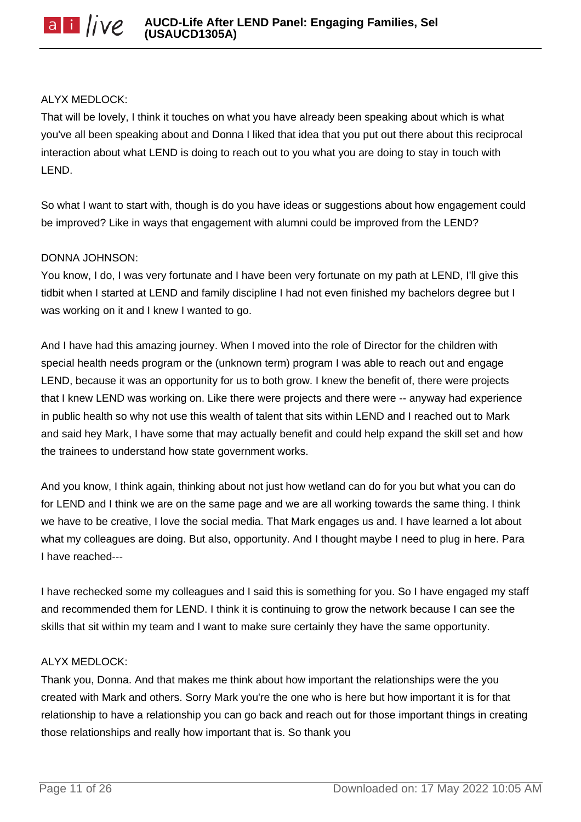### ALYX MEDLOCK:

That will be lovely, I think it touches on what you have already been speaking about which is what you've all been speaking about and Donna I liked that idea that you put out there about this reciprocal interaction about what LEND is doing to reach out to you what you are doing to stay in touch with LEND.

So what I want to start with, though is do you have ideas or suggestions about how engagement could be improved? Like in ways that engagement with alumni could be improved from the LEND?

### DONNA JOHNSON:

You know, I do, I was very fortunate and I have been very fortunate on my path at LEND, I'll give this tidbit when I started at LEND and family discipline I had not even finished my bachelors degree but I was working on it and I knew I wanted to go.

And I have had this amazing journey. When I moved into the role of Director for the children with special health needs program or the (unknown term) program I was able to reach out and engage LEND, because it was an opportunity for us to both grow. I knew the benefit of, there were projects that I knew LEND was working on. Like there were projects and there were -- anyway had experience in public health so why not use this wealth of talent that sits within LEND and I reached out to Mark and said hey Mark, I have some that may actually benefit and could help expand the skill set and how the trainees to understand how state government works.

And you know, I think again, thinking about not just how wetland can do for you but what you can do for LEND and I think we are on the same page and we are all working towards the same thing. I think we have to be creative, I love the social media. That Mark engages us and. I have learned a lot about what my colleagues are doing. But also, opportunity. And I thought maybe I need to plug in here. Para I have reached---

I have rechecked some my colleagues and I said this is something for you. So I have engaged my staff and recommended them for LEND. I think it is continuing to grow the network because I can see the skills that sit within my team and I want to make sure certainly they have the same opportunity.

### ALYX MEDLOCK:

Thank you, Donna. And that makes me think about how important the relationships were the you created with Mark and others. Sorry Mark you're the one who is here but how important it is for that relationship to have a relationship you can go back and reach out for those important things in creating those relationships and really how important that is. So thank you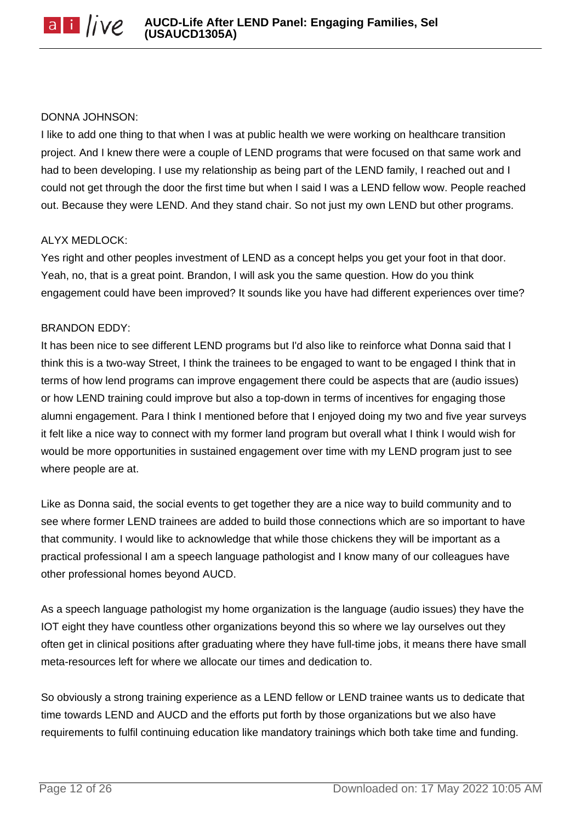### DONNA JOHNSON:

I like to add one thing to that when I was at public health we were working on healthcare transition project. And I knew there were a couple of LEND programs that were focused on that same work and had to been developing. I use my relationship as being part of the LEND family, I reached out and I could not get through the door the first time but when I said I was a LEND fellow wow. People reached out. Because they were LEND. And they stand chair. So not just my own LEND but other programs.

### ALYX MEDLOCK:

Yes right and other peoples investment of LEND as a concept helps you get your foot in that door. Yeah, no, that is a great point. Brandon, I will ask you the same question. How do you think engagement could have been improved? It sounds like you have had different experiences over time?

### BRANDON EDDY:

It has been nice to see different LEND programs but I'd also like to reinforce what Donna said that I think this is a two-way Street, I think the trainees to be engaged to want to be engaged I think that in terms of how lend programs can improve engagement there could be aspects that are (audio issues) or how LEND training could improve but also a top-down in terms of incentives for engaging those alumni engagement. Para I think I mentioned before that I enjoyed doing my two and five year surveys it felt like a nice way to connect with my former land program but overall what I think I would wish for would be more opportunities in sustained engagement over time with my LEND program just to see where people are at.

Like as Donna said, the social events to get together they are a nice way to build community and to see where former LEND trainees are added to build those connections which are so important to have that community. I would like to acknowledge that while those chickens they will be important as a practical professional I am a speech language pathologist and I know many of our colleagues have other professional homes beyond AUCD.

As a speech language pathologist my home organization is the language (audio issues) they have the IOT eight they have countless other organizations beyond this so where we lay ourselves out they often get in clinical positions after graduating where they have full-time jobs, it means there have small meta-resources left for where we allocate our times and dedication to.

So obviously a strong training experience as a LEND fellow or LEND trainee wants us to dedicate that time towards LEND and AUCD and the efforts put forth by those organizations but we also have requirements to fulfil continuing education like mandatory trainings which both take time and funding.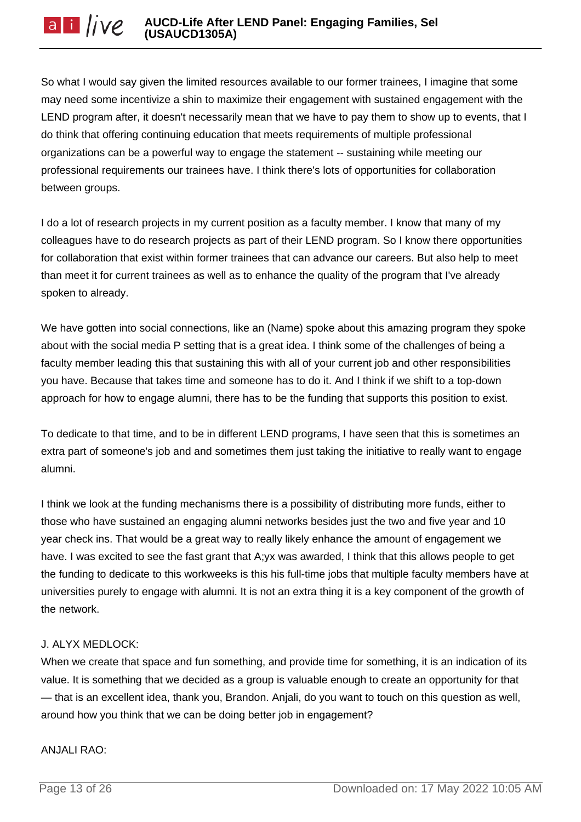So what I would say given the limited resources available to our former trainees, I imagine that some may need some incentivize a shin to maximize their engagement with sustained engagement with the LEND program after, it doesn't necessarily mean that we have to pay them to show up to events, that I do think that offering continuing education that meets requirements of multiple professional organizations can be a powerful way to engage the statement -- sustaining while meeting our professional requirements our trainees have. I think there's lots of opportunities for collaboration between groups.

I do a lot of research projects in my current position as a faculty member. I know that many of my colleagues have to do research projects as part of their LEND program. So I know there opportunities for collaboration that exist within former trainees that can advance our careers. But also help to meet than meet it for current trainees as well as to enhance the quality of the program that I've already spoken to already.

We have gotten into social connections, like an (Name) spoke about this amazing program they spoke about with the social media P setting that is a great idea. I think some of the challenges of being a faculty member leading this that sustaining this with all of your current job and other responsibilities you have. Because that takes time and someone has to do it. And I think if we shift to a top-down approach for how to engage alumni, there has to be the funding that supports this position to exist.

To dedicate to that time, and to be in different LEND programs, I have seen that this is sometimes an extra part of someone's job and and sometimes them just taking the initiative to really want to engage alumni.

I think we look at the funding mechanisms there is a possibility of distributing more funds, either to those who have sustained an engaging alumni networks besides just the two and five year and 10 year check ins. That would be a great way to really likely enhance the amount of engagement we have. I was excited to see the fast grant that A;yx was awarded, I think that this allows people to get the funding to dedicate to this workweeks is this his full-time jobs that multiple faculty members have at universities purely to engage with alumni. It is not an extra thing it is a key component of the growth of the network.

# J. ALYX MEDLOCK:

When we create that space and fun something, and provide time for something, it is an indication of its value. It is something that we decided as a group is valuable enough to create an opportunity for that — that is an excellent idea, thank you, Brandon. Anjali, do you want to touch on this question as well, around how you think that we can be doing better job in engagement?

#### ANJALI RAO: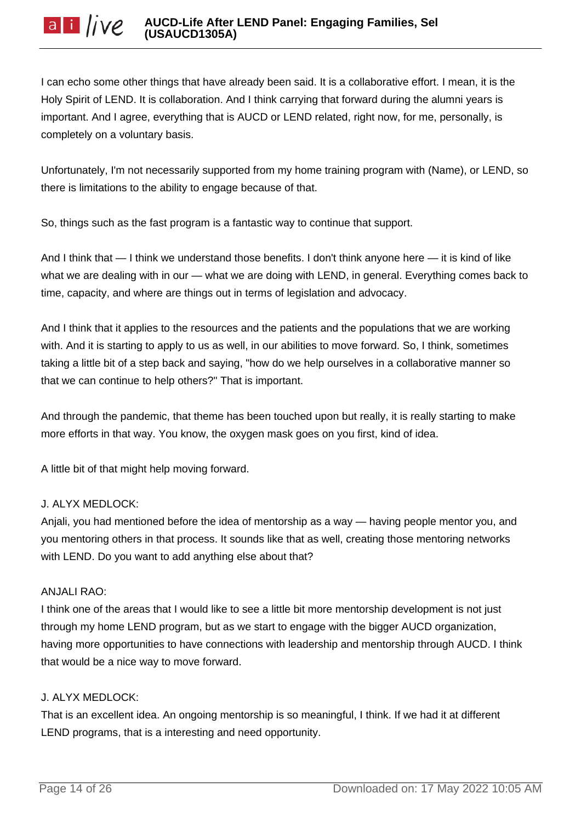I can echo some other things that have already been said. It is a collaborative effort. I mean, it is the Holy Spirit of LEND. It is collaboration. And I think carrying that forward during the alumni years is important. And I agree, everything that is AUCD or LEND related, right now, for me, personally, is completely on a voluntary basis.

Unfortunately, I'm not necessarily supported from my home training program with (Name), or LEND, so there is limitations to the ability to engage because of that.

So, things such as the fast program is a fantastic way to continue that support.

And I think that — I think we understand those benefits. I don't think anyone here — it is kind of like what we are dealing with in our — what we are doing with LEND, in general. Everything comes back to time, capacity, and where are things out in terms of legislation and advocacy.

And I think that it applies to the resources and the patients and the populations that we are working with. And it is starting to apply to us as well, in our abilities to move forward. So, I think, sometimes taking a little bit of a step back and saying, "how do we help ourselves in a collaborative manner so that we can continue to help others?" That is important.

And through the pandemic, that theme has been touched upon but really, it is really starting to make more efforts in that way. You know, the oxygen mask goes on you first, kind of idea.

A little bit of that might help moving forward.

# J. ALYX MEDLOCK:

Anjali, you had mentioned before the idea of mentorship as a way — having people mentor you, and you mentoring others in that process. It sounds like that as well, creating those mentoring networks with LEND. Do you want to add anything else about that?

# ANJALI RAO:

I think one of the areas that I would like to see a little bit more mentorship development is not just through my home LEND program, but as we start to engage with the bigger AUCD organization, having more opportunities to have connections with leadership and mentorship through AUCD. I think that would be a nice way to move forward.

# J. ALYX MEDLOCK:

That is an excellent idea. An ongoing mentorship is so meaningful, I think. If we had it at different LEND programs, that is a interesting and need opportunity.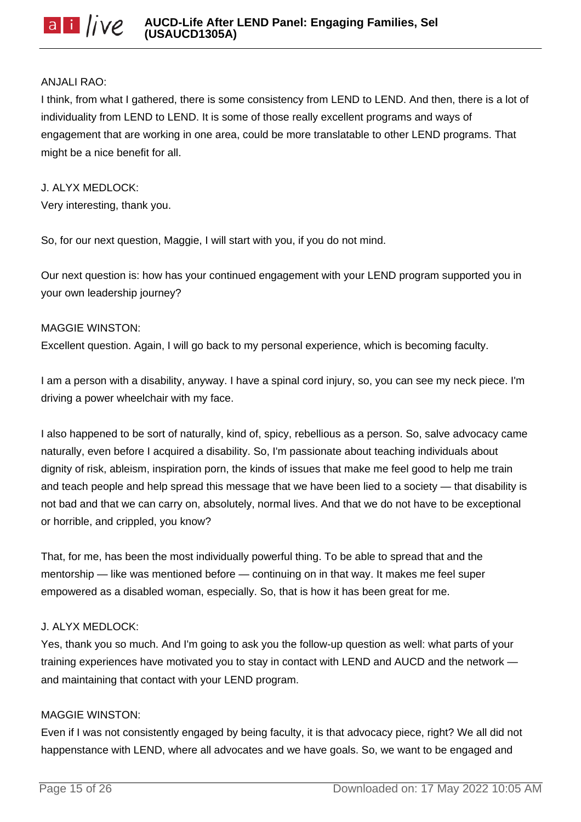### ANJALI RAO:

I think, from what I gathered, there is some consistency from LEND to LEND. And then, there is a lot of individuality from LEND to LEND. It is some of those really excellent programs and ways of engagement that are working in one area, could be more translatable to other LEND programs. That might be a nice benefit for all.

J. ALYX MEDLOCK: Very interesting, thank you.

So, for our next question, Maggie, I will start with you, if you do not mind.

Our next question is: how has your continued engagement with your LEND program supported you in your own leadership journey?

### MAGGIE WINSTON:

Excellent question. Again, I will go back to my personal experience, which is becoming faculty.

I am a person with a disability, anyway. I have a spinal cord injury, so, you can see my neck piece. I'm driving a power wheelchair with my face.

I also happened to be sort of naturally, kind of, spicy, rebellious as a person. So, salve advocacy came naturally, even before I acquired a disability. So, I'm passionate about teaching individuals about dignity of risk, ableism, inspiration porn, the kinds of issues that make me feel good to help me train and teach people and help spread this message that we have been lied to a society — that disability is not bad and that we can carry on, absolutely, normal lives. And that we do not have to be exceptional or horrible, and crippled, you know?

That, for me, has been the most individually powerful thing. To be able to spread that and the mentorship — like was mentioned before — continuing on in that way. It makes me feel super empowered as a disabled woman, especially. So, that is how it has been great for me.

### J. ALYX MEDLOCK:

Yes, thank you so much. And I'm going to ask you the follow-up question as well: what parts of your training experiences have motivated you to stay in contact with LEND and AUCD and the network and maintaining that contact with your LEND program.

### MAGGIE WINSTON:

Even if I was not consistently engaged by being faculty, it is that advocacy piece, right? We all did not happenstance with LEND, where all advocates and we have goals. So, we want to be engaged and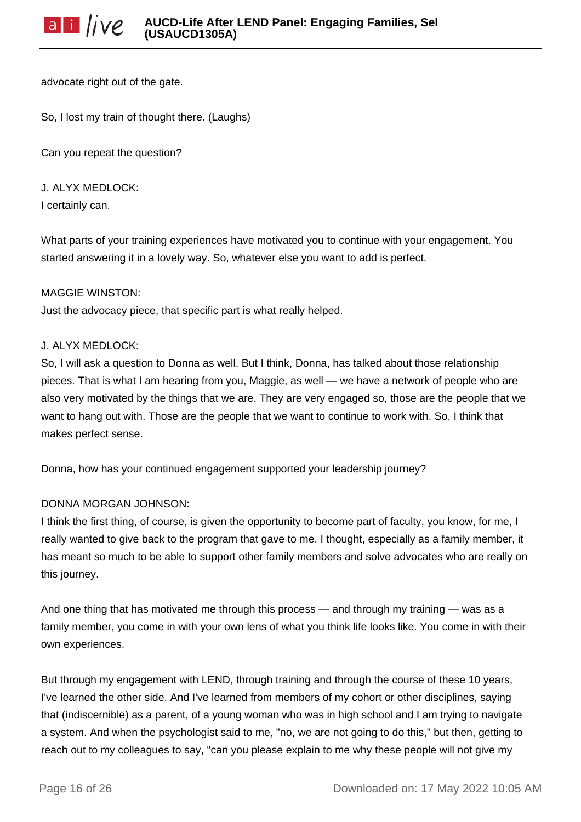advocate right out of the gate.

So, I lost my train of thought there. (Laughs)

Can you repeat the question?

J. ALYX MEDLOCK: I certainly can.

What parts of your training experiences have motivated you to continue with your engagement. You started answering it in a lovely way. So, whatever else you want to add is perfect.

### MAGGIE WINSTON:

Just the advocacy piece, that specific part is what really helped.

### J. ALYX MEDLOCK:

So, I will ask a question to Donna as well. But I think, Donna, has talked about those relationship pieces. That is what I am hearing from you, Maggie, as well — we have a network of people who are also very motivated by the things that we are. They are very engaged so, those are the people that we want to hang out with. Those are the people that we want to continue to work with. So, I think that makes perfect sense.

Donna, how has your continued engagement supported your leadership journey?

### DONNA MORGAN JOHNSON:

I think the first thing, of course, is given the opportunity to become part of faculty, you know, for me, I really wanted to give back to the program that gave to me. I thought, especially as a family member, it has meant so much to be able to support other family members and solve advocates who are really on this journey.

And one thing that has motivated me through this process — and through my training — was as a family member, you come in with your own lens of what you think life looks like. You come in with their own experiences.

But through my engagement with LEND, through training and through the course of these 10 years, I've learned the other side. And I've learned from members of my cohort or other disciplines, saying that (indiscernible) as a parent, of a young woman who was in high school and I am trying to navigate a system. And when the psychologist said to me, "no, we are not going to do this," but then, getting to reach out to my colleagues to say, "can you please explain to me why these people will not give my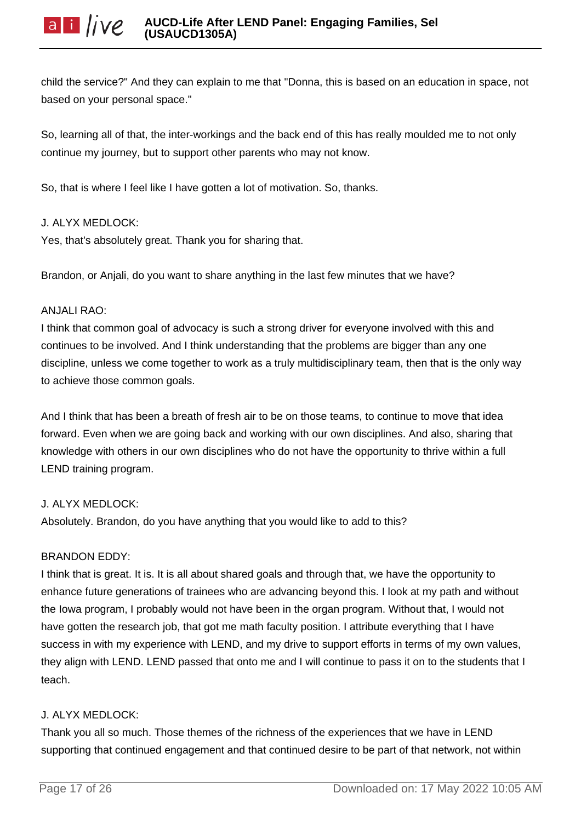child the service?" And they can explain to me that "Donna, this is based on an education in space, not based on your personal space."

So, learning all of that, the inter-workings and the back end of this has really moulded me to not only continue my journey, but to support other parents who may not know.

So, that is where I feel like I have gotten a lot of motivation. So, thanks.

### J. ALYX MEDLOCK:

Yes, that's absolutely great. Thank you for sharing that.

Brandon, or Anjali, do you want to share anything in the last few minutes that we have?

### ANJALI RAO:

I think that common goal of advocacy is such a strong driver for everyone involved with this and continues to be involved. And I think understanding that the problems are bigger than any one discipline, unless we come together to work as a truly multidisciplinary team, then that is the only way to achieve those common goals.

And I think that has been a breath of fresh air to be on those teams, to continue to move that idea forward. Even when we are going back and working with our own disciplines. And also, sharing that knowledge with others in our own disciplines who do not have the opportunity to thrive within a full LEND training program.

# J. ALYX MEDLOCK:

Absolutely. Brandon, do you have anything that you would like to add to this?

# BRANDON EDDY:

I think that is great. It is. It is all about shared goals and through that, we have the opportunity to enhance future generations of trainees who are advancing beyond this. I look at my path and without the Iowa program, I probably would not have been in the organ program. Without that, I would not have gotten the research job, that got me math faculty position. I attribute everything that I have success in with my experience with LEND, and my drive to support efforts in terms of my own values, they align with LEND. LEND passed that onto me and I will continue to pass it on to the students that I teach.

# J. ALYX MEDLOCK:

Thank you all so much. Those themes of the richness of the experiences that we have in LEND supporting that continued engagement and that continued desire to be part of that network, not within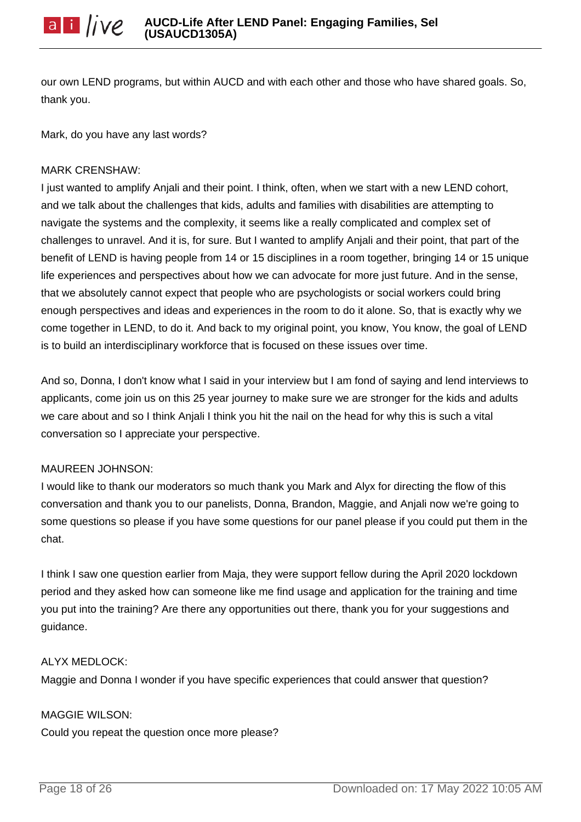our own LEND programs, but within AUCD and with each other and those who have shared goals. So, thank you.

Mark, do you have any last words?

### MARK CRENSHAW:

I just wanted to amplify Anjali and their point. I think, often, when we start with a new LEND cohort, and we talk about the challenges that kids, adults and families with disabilities are attempting to navigate the systems and the complexity, it seems like a really complicated and complex set of challenges to unravel. And it is, for sure. But I wanted to amplify Anjali and their point, that part of the benefit of LEND is having people from 14 or 15 disciplines in a room together, bringing 14 or 15 unique life experiences and perspectives about how we can advocate for more just future. And in the sense, that we absolutely cannot expect that people who are psychologists or social workers could bring enough perspectives and ideas and experiences in the room to do it alone. So, that is exactly why we come together in LEND, to do it. And back to my original point, you know, You know, the goal of LEND is to build an interdisciplinary workforce that is focused on these issues over time.

And so, Donna, I don't know what I said in your interview but I am fond of saying and lend interviews to applicants, come join us on this 25 year journey to make sure we are stronger for the kids and adults we care about and so I think Anjali I think you hit the nail on the head for why this is such a vital conversation so I appreciate your perspective.

### MAUREEN JOHNSON:

I would like to thank our moderators so much thank you Mark and Alyx for directing the flow of this conversation and thank you to our panelists, Donna, Brandon, Maggie, and Anjali now we're going to some questions so please if you have some questions for our panel please if you could put them in the chat.

I think I saw one question earlier from Maja, they were support fellow during the April 2020 lockdown period and they asked how can someone like me find usage and application for the training and time you put into the training? Are there any opportunities out there, thank you for your suggestions and guidance.

### ALYX MEDLOCK:

Maggie and Donna I wonder if you have specific experiences that could answer that question?

MAGGIE WILSON:

Could you repeat the question once more please?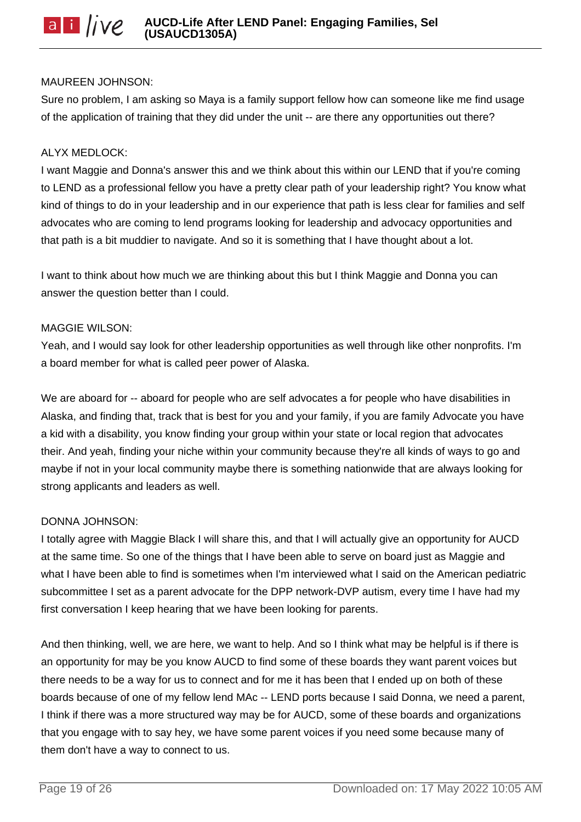### MAUREEN JOHNSON:

Sure no problem, I am asking so Maya is a family support fellow how can someone like me find usage of the application of training that they did under the unit -- are there any opportunities out there?

### ALYX MEDLOCK:

I want Maggie and Donna's answer this and we think about this within our LEND that if you're coming to LEND as a professional fellow you have a pretty clear path of your leadership right? You know what kind of things to do in your leadership and in our experience that path is less clear for families and self advocates who are coming to lend programs looking for leadership and advocacy opportunities and that path is a bit muddier to navigate. And so it is something that I have thought about a lot.

I want to think about how much we are thinking about this but I think Maggie and Donna you can answer the question better than I could.

#### MAGGIE WILSON:

Yeah, and I would say look for other leadership opportunities as well through like other nonprofits. I'm a board member for what is called peer power of Alaska.

We are aboard for -- aboard for people who are self advocates a for people who have disabilities in Alaska, and finding that, track that is best for you and your family, if you are family Advocate you have a kid with a disability, you know finding your group within your state or local region that advocates their. And yeah, finding your niche within your community because they're all kinds of ways to go and maybe if not in your local community maybe there is something nationwide that are always looking for strong applicants and leaders as well.

### DONNA JOHNSON:

I totally agree with Maggie Black I will share this, and that I will actually give an opportunity for AUCD at the same time. So one of the things that I have been able to serve on board just as Maggie and what I have been able to find is sometimes when I'm interviewed what I said on the American pediatric subcommittee I set as a parent advocate for the DPP network-DVP autism, every time I have had my first conversation I keep hearing that we have been looking for parents.

And then thinking, well, we are here, we want to help. And so I think what may be helpful is if there is an opportunity for may be you know AUCD to find some of these boards they want parent voices but there needs to be a way for us to connect and for me it has been that I ended up on both of these boards because of one of my fellow lend MAc -- LEND ports because I said Donna, we need a parent, I think if there was a more structured way may be for AUCD, some of these boards and organizations that you engage with to say hey, we have some parent voices if you need some because many of them don't have a way to connect to us.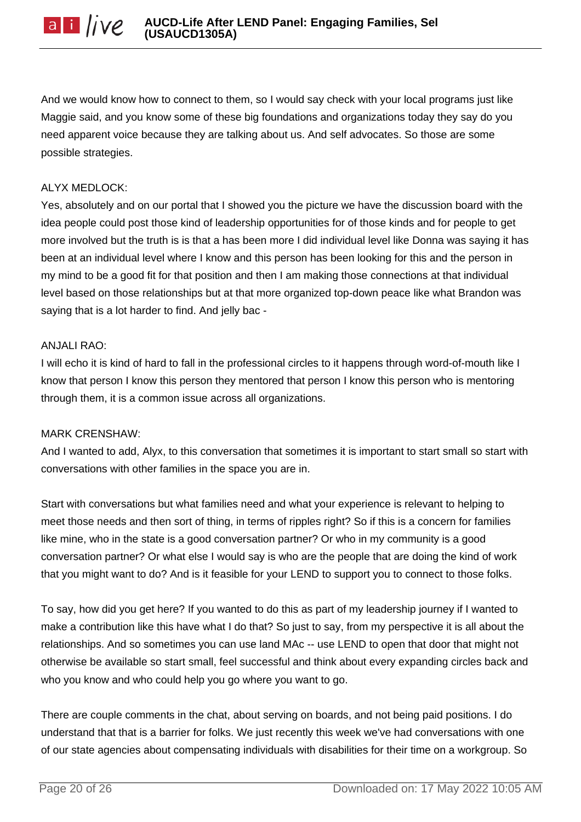And we would know how to connect to them, so I would say check with your local programs just like Maggie said, and you know some of these big foundations and organizations today they say do you need apparent voice because they are talking about us. And self advocates. So those are some possible strategies.

## ALYX MEDLOCK:

Yes, absolutely and on our portal that I showed you the picture we have the discussion board with the idea people could post those kind of leadership opportunities for of those kinds and for people to get more involved but the truth is is that a has been more I did individual level like Donna was saying it has been at an individual level where I know and this person has been looking for this and the person in my mind to be a good fit for that position and then I am making those connections at that individual level based on those relationships but at that more organized top-down peace like what Brandon was saying that is a lot harder to find. And jelly bac -

### ANJALI RAO:

I will echo it is kind of hard to fall in the professional circles to it happens through word-of-mouth like I know that person I know this person they mentored that person I know this person who is mentoring through them, it is a common issue across all organizations.

### MARK CRENSHAW:

And I wanted to add, Alyx, to this conversation that sometimes it is important to start small so start with conversations with other families in the space you are in.

Start with conversations but what families need and what your experience is relevant to helping to meet those needs and then sort of thing, in terms of ripples right? So if this is a concern for families like mine, who in the state is a good conversation partner? Or who in my community is a good conversation partner? Or what else I would say is who are the people that are doing the kind of work that you might want to do? And is it feasible for your LEND to support you to connect to those folks.

To say, how did you get here? If you wanted to do this as part of my leadership journey if I wanted to make a contribution like this have what I do that? So just to say, from my perspective it is all about the relationships. And so sometimes you can use land MAc -- use LEND to open that door that might not otherwise be available so start small, feel successful and think about every expanding circles back and who you know and who could help you go where you want to go.

There are couple comments in the chat, about serving on boards, and not being paid positions. I do understand that that is a barrier for folks. We just recently this week we've had conversations with one of our state agencies about compensating individuals with disabilities for their time on a workgroup. So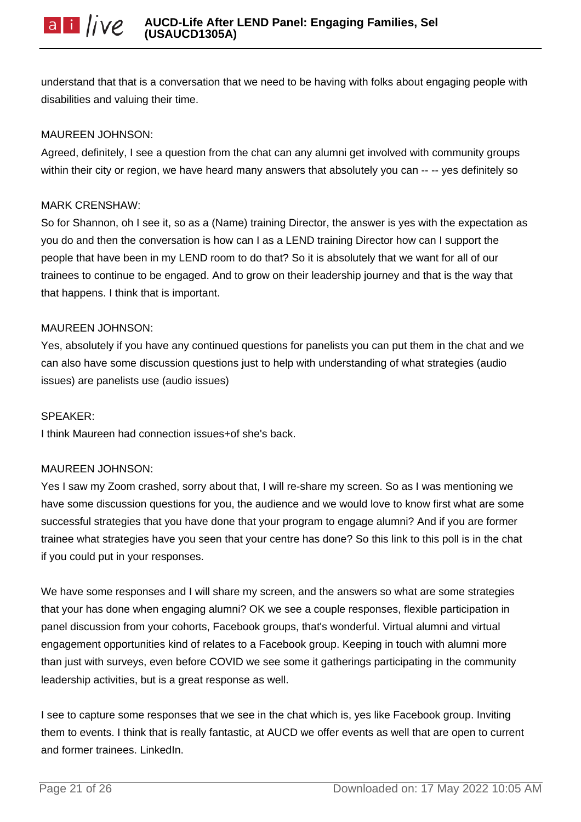understand that that is a conversation that we need to be having with folks about engaging people with disabilities and valuing their time.

### MAUREEN JOHNSON:

Agreed, definitely, I see a question from the chat can any alumni get involved with community groups within their city or region, we have heard many answers that absolutely you can --- ves definitely so

### MARK CRENSHAW:

So for Shannon, oh I see it, so as a (Name) training Director, the answer is yes with the expectation as you do and then the conversation is how can I as a LEND training Director how can I support the people that have been in my LEND room to do that? So it is absolutely that we want for all of our trainees to continue to be engaged. And to grow on their leadership journey and that is the way that that happens. I think that is important.

### MAUREEN JOHNSON:

Yes, absolutely if you have any continued questions for panelists you can put them in the chat and we can also have some discussion questions just to help with understanding of what strategies (audio issues) are panelists use (audio issues)

### SPEAKER:

I think Maureen had connection issues+of she's back.

### MAUREEN JOHNSON:

Yes I saw my Zoom crashed, sorry about that, I will re-share my screen. So as I was mentioning we have some discussion questions for you, the audience and we would love to know first what are some successful strategies that you have done that your program to engage alumni? And if you are former trainee what strategies have you seen that your centre has done? So this link to this poll is in the chat if you could put in your responses.

We have some responses and I will share my screen, and the answers so what are some strategies that your has done when engaging alumni? OK we see a couple responses, flexible participation in panel discussion from your cohorts, Facebook groups, that's wonderful. Virtual alumni and virtual engagement opportunities kind of relates to a Facebook group. Keeping in touch with alumni more than just with surveys, even before COVID we see some it gatherings participating in the community leadership activities, but is a great response as well.

I see to capture some responses that we see in the chat which is, yes like Facebook group. Inviting them to events. I think that is really fantastic, at AUCD we offer events as well that are open to current and former trainees. LinkedIn.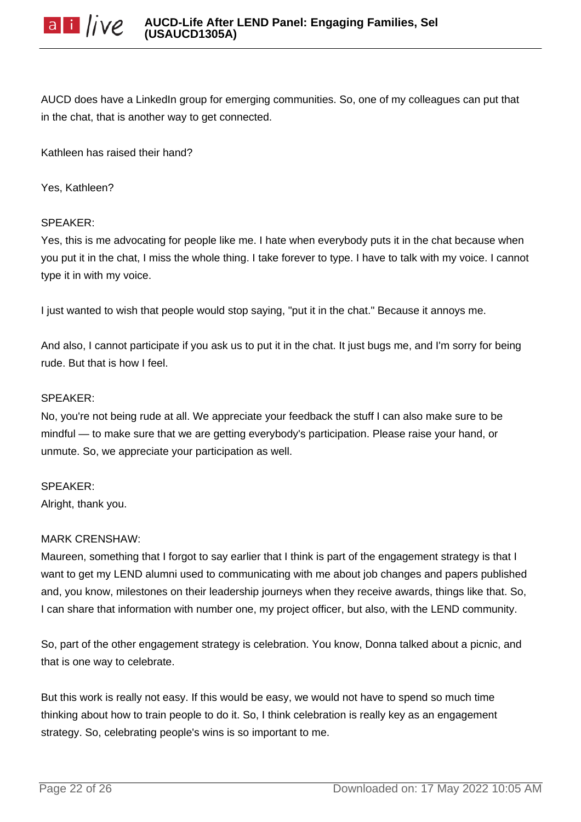AUCD does have a LinkedIn group for emerging communities. So, one of my colleagues can put that in the chat, that is another way to get connected.

Kathleen has raised their hand?

Yes, Kathleen?

### SPEAKER:

Yes, this is me advocating for people like me. I hate when everybody puts it in the chat because when you put it in the chat, I miss the whole thing. I take forever to type. I have to talk with my voice. I cannot type it in with my voice.

I just wanted to wish that people would stop saying, "put it in the chat." Because it annoys me.

And also, I cannot participate if you ask us to put it in the chat. It just bugs me, and I'm sorry for being rude. But that is how I feel.

### SPEAKER:

No, you're not being rude at all. We appreciate your feedback the stuff I can also make sure to be mindful — to make sure that we are getting everybody's participation. Please raise your hand, or unmute. So, we appreciate your participation as well.

#### SPEAKER:

Alright, thank you.

### MARK CRENSHAW:

Maureen, something that I forgot to say earlier that I think is part of the engagement strategy is that I want to get my LEND alumni used to communicating with me about job changes and papers published and, you know, milestones on their leadership journeys when they receive awards, things like that. So, I can share that information with number one, my project officer, but also, with the LEND community.

So, part of the other engagement strategy is celebration. You know, Donna talked about a picnic, and that is one way to celebrate.

But this work is really not easy. If this would be easy, we would not have to spend so much time thinking about how to train people to do it. So, I think celebration is really key as an engagement strategy. So, celebrating people's wins is so important to me.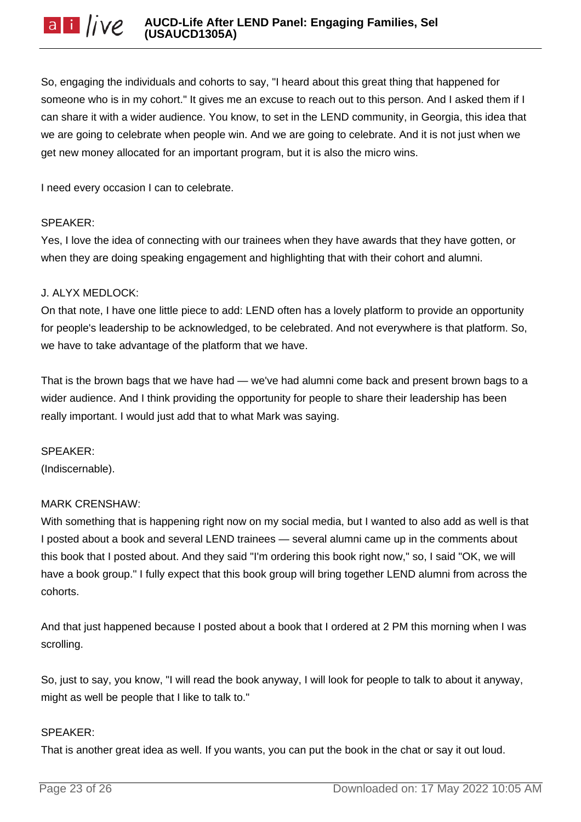So, engaging the individuals and cohorts to say, "I heard about this great thing that happened for someone who is in my cohort." It gives me an excuse to reach out to this person. And I asked them if I can share it with a wider audience. You know, to set in the LEND community, in Georgia, this idea that we are going to celebrate when people win. And we are going to celebrate. And it is not just when we get new money allocated for an important program, but it is also the micro wins.

I need every occasion I can to celebrate.

### SPEAKER:

Yes, I love the idea of connecting with our trainees when they have awards that they have gotten, or when they are doing speaking engagement and highlighting that with their cohort and alumni.

### J. ALYX MEDLOCK:

On that note, I have one little piece to add: LEND often has a lovely platform to provide an opportunity for people's leadership to be acknowledged, to be celebrated. And not everywhere is that platform. So, we have to take advantage of the platform that we have.

That is the brown bags that we have had — we've had alumni come back and present brown bags to a wider audience. And I think providing the opportunity for people to share their leadership has been really important. I would just add that to what Mark was saying.

SPEAKER: (Indiscernable).

# MARK CRENSHAW:

With something that is happening right now on my social media, but I wanted to also add as well is that I posted about a book and several LEND trainees — several alumni came up in the comments about this book that I posted about. And they said "I'm ordering this book right now," so, I said "OK, we will have a book group." I fully expect that this book group will bring together LEND alumni from across the cohorts.

And that just happened because I posted about a book that I ordered at 2 PM this morning when I was scrolling.

So, just to say, you know, "I will read the book anyway, I will look for people to talk to about it anyway, might as well be people that I like to talk to."

### SPEAKER:

That is another great idea as well. If you wants, you can put the book in the chat or say it out loud.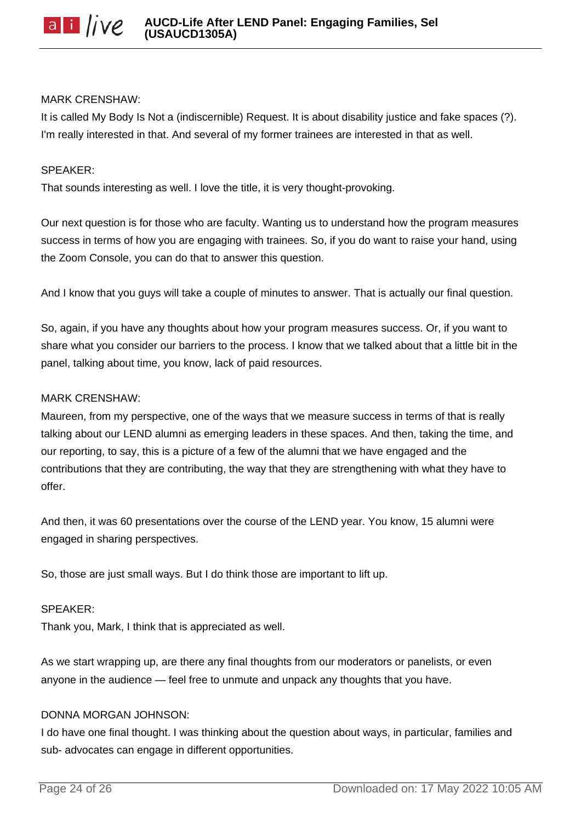

#### MARK CRENSHAW:

It is called My Body Is Not a (indiscernible) Request. It is about disability justice and fake spaces (?). I'm really interested in that. And several of my former trainees are interested in that as well.

#### SPEAKER:

That sounds interesting as well. I love the title, it is very thought-provoking.

Our next question is for those who are faculty. Wanting us to understand how the program measures success in terms of how you are engaging with trainees. So, if you do want to raise your hand, using the Zoom Console, you can do that to answer this question.

And I know that you guys will take a couple of minutes to answer. That is actually our final question.

So, again, if you have any thoughts about how your program measures success. Or, if you want to share what you consider our barriers to the process. I know that we talked about that a little bit in the panel, talking about time, you know, lack of paid resources.

#### MARK CRENSHAW:

Maureen, from my perspective, one of the ways that we measure success in terms of that is really talking about our LEND alumni as emerging leaders in these spaces. And then, taking the time, and our reporting, to say, this is a picture of a few of the alumni that we have engaged and the contributions that they are contributing, the way that they are strengthening with what they have to offer.

And then, it was 60 presentations over the course of the LEND year. You know, 15 alumni were engaged in sharing perspectives.

So, those are just small ways. But I do think those are important to lift up.

#### SPEAKER:

Thank you, Mark, I think that is appreciated as well.

As we start wrapping up, are there any final thoughts from our moderators or panelists, or even anyone in the audience — feel free to unmute and unpack any thoughts that you have.

#### DONNA MORGAN JOHNSON:

I do have one final thought. I was thinking about the question about ways, in particular, families and sub- advocates can engage in different opportunities.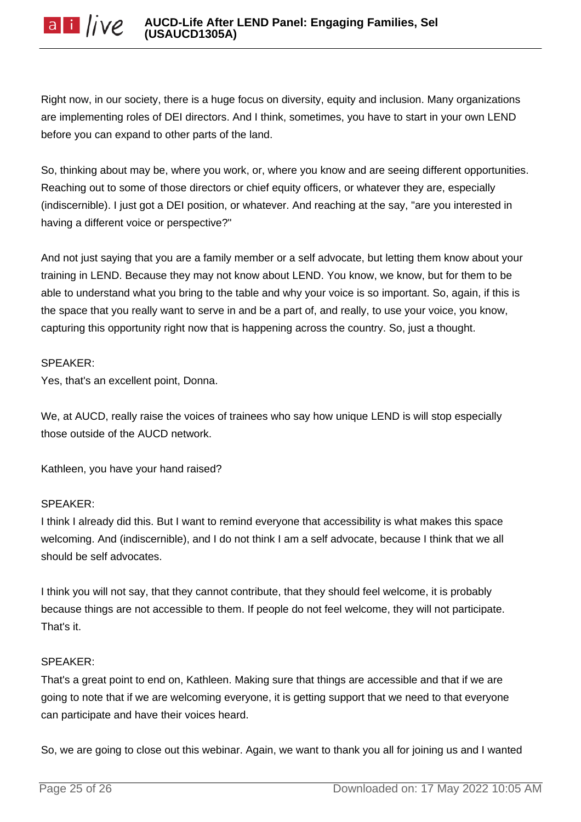Right now, in our society, there is a huge focus on diversity, equity and inclusion. Many organizations are implementing roles of DEI directors. And I think, sometimes, you have to start in your own LEND before you can expand to other parts of the land.

So, thinking about may be, where you work, or, where you know and are seeing different opportunities. Reaching out to some of those directors or chief equity officers, or whatever they are, especially (indiscernible). I just got a DEI position, or whatever. And reaching at the say, "are you interested in having a different voice or perspective?"

And not just saying that you are a family member or a self advocate, but letting them know about your training in LEND. Because they may not know about LEND. You know, we know, but for them to be able to understand what you bring to the table and why your voice is so important. So, again, if this is the space that you really want to serve in and be a part of, and really, to use your voice, you know, capturing this opportunity right now that is happening across the country. So, just a thought.

#### SPEAKER:

Yes, that's an excellent point, Donna.

We, at AUCD, really raise the voices of trainees who say how unique LEND is will stop especially those outside of the AUCD network.

Kathleen, you have your hand raised?

### SPEAKER:

I think I already did this. But I want to remind everyone that accessibility is what makes this space welcoming. And (indiscernible), and I do not think I am a self advocate, because I think that we all should be self advocates.

I think you will not say, that they cannot contribute, that they should feel welcome, it is probably because things are not accessible to them. If people do not feel welcome, they will not participate. That's it.

#### SPEAKER:

That's a great point to end on, Kathleen. Making sure that things are accessible and that if we are going to note that if we are welcoming everyone, it is getting support that we need to that everyone can participate and have their voices heard.

So, we are going to close out this webinar. Again, we want to thank you all for joining us and I wanted